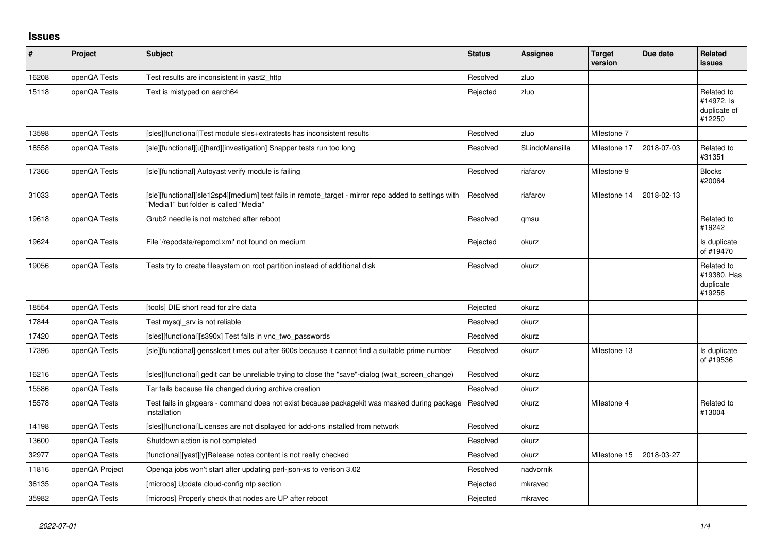## **Issues**

| #     | Project        | <b>Subject</b>                                                                                                                                | <b>Status</b> | <b>Assignee</b> | <b>Target</b><br>version | Due date   | <b>Related</b><br>issues                           |
|-------|----------------|-----------------------------------------------------------------------------------------------------------------------------------------------|---------------|-----------------|--------------------------|------------|----------------------------------------------------|
| 16208 | openQA Tests   | Test results are inconsistent in yast2_http                                                                                                   | Resolved      | zluo            |                          |            |                                                    |
| 15118 | openQA Tests   | Text is mistyped on aarch64                                                                                                                   | Rejected      | zluo            |                          |            | Related to<br>#14972, ls<br>duplicate of<br>#12250 |
| 13598 | openQA Tests   | [sles][functional]Test module sles+extratests has inconsistent results                                                                        | Resolved      | zluo            | Milestone 7              |            |                                                    |
| 18558 | openQA Tests   | [sle][functional][u][hard][investigation] Snapper tests run too long                                                                          | Resolved      | SLindoMansilla  | Milestone 17             | 2018-07-03 | Related to<br>#31351                               |
| 17366 | openQA Tests   | [sle][functional] Autoyast verify module is failing                                                                                           | Resolved      | riafarov        | Milestone 9              |            | <b>Blocks</b><br>#20064                            |
| 31033 | openQA Tests   | [sle][functional][sle12sp4][medium] test fails in remote_target - mirror repo added to settings with<br>"Media1" but folder is called "Media" | Resolved      | riafarov        | Milestone 14             | 2018-02-13 |                                                    |
| 19618 | openQA Tests   | Grub2 needle is not matched after reboot                                                                                                      | Resolved      | qmsu            |                          |            | Related to<br>#19242                               |
| 19624 | openQA Tests   | File '/repodata/repomd.xml' not found on medium                                                                                               | Rejected      | okurz           |                          |            | Is duplicate<br>of #19470                          |
| 19056 | openQA Tests   | Tests try to create filesystem on root partition instead of additional disk                                                                   | Resolved      | okurz           |                          |            | Related to<br>#19380, Has<br>duplicate<br>#19256   |
| 18554 | openQA Tests   | [tools] DIE short read for zire data                                                                                                          | Rejected      | okurz           |                          |            |                                                    |
| 17844 | openQA Tests   | Test mysgl srv is not reliable                                                                                                                | Resolved      | okurz           |                          |            |                                                    |
| 17420 | openQA Tests   | [sles][functional][s390x] Test fails in vnc_two_passwords                                                                                     | Resolved      | okurz           |                          |            |                                                    |
| 17396 | openQA Tests   | [sle][functional] gensslcert times out after 600s because it cannot find a suitable prime number                                              | Resolved      | okurz           | Milestone 13             |            | Is duplicate<br>of #19536                          |
| 16216 | openQA Tests   | [sles][functional] gedit can be unreliable trying to close the "save"-dialog (wait screen change)                                             | Resolved      | okurz           |                          |            |                                                    |
| 15586 | openQA Tests   | Tar fails because file changed during archive creation                                                                                        | Resolved      | okurz           |                          |            |                                                    |
| 15578 | openQA Tests   | Test fails in glxgears - command does not exist because packagekit was masked during package<br>installation                                  | Resolved      | okurz           | Milestone 4              |            | Related to<br>#13004                               |
| 14198 | openQA Tests   | [sles][functional]Licenses are not displayed for add-ons installed from network                                                               | Resolved      | okurz           |                          |            |                                                    |
| 13600 | openQA Tests   | Shutdown action is not completed                                                                                                              | Resolved      | okurz           |                          |            |                                                    |
| 32977 | openQA Tests   | [functional][yast][y]Release notes content is not really checked                                                                              | Resolved      | okurz           | Milestone 15             | 2018-03-27 |                                                    |
| 11816 | openQA Project | Openga jobs won't start after updating perl-json-xs to verison 3.02                                                                           | Resolved      | nadvornik       |                          |            |                                                    |
| 36135 | openQA Tests   | [microos] Update cloud-config ntp section                                                                                                     | Rejected      | mkravec         |                          |            |                                                    |
| 35982 | openQA Tests   | [microos] Properly check that nodes are UP after reboot                                                                                       | Rejected      | mkravec         |                          |            |                                                    |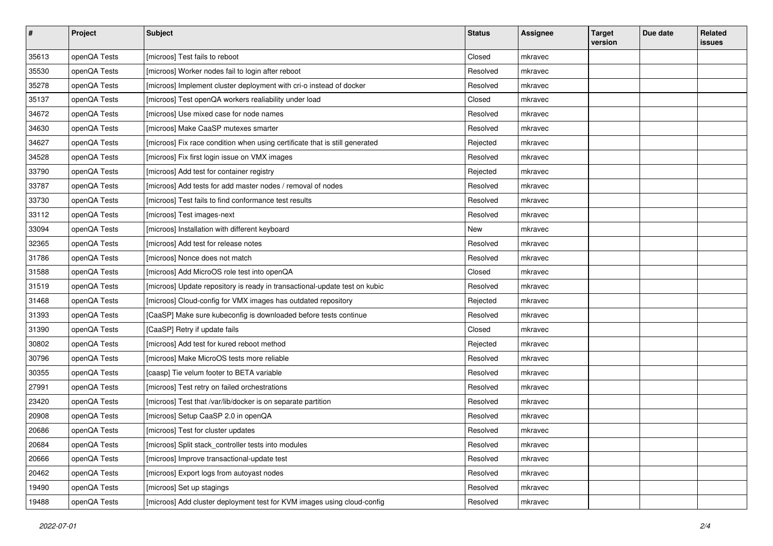| $\sharp$ | Project      | <b>Subject</b>                                                              | <b>Status</b> | <b>Assignee</b> | <b>Target</b><br>version | Due date | Related<br><b>issues</b> |
|----------|--------------|-----------------------------------------------------------------------------|---------------|-----------------|--------------------------|----------|--------------------------|
| 35613    | openQA Tests | [microos] Test fails to reboot                                              | Closed        | mkravec         |                          |          |                          |
| 35530    | openQA Tests | [microos] Worker nodes fail to login after reboot                           | Resolved      | mkravec         |                          |          |                          |
| 35278    | openQA Tests | [microos] Implement cluster deployment with cri-o instead of docker         | Resolved      | mkravec         |                          |          |                          |
| 35137    | openQA Tests | [microos] Test openQA workers realiability under load                       | Closed        | mkravec         |                          |          |                          |
| 34672    | openQA Tests | [microos] Use mixed case for node names                                     | Resolved      | mkravec         |                          |          |                          |
| 34630    | openQA Tests | [microos] Make CaaSP mutexes smarter                                        | Resolved      | mkravec         |                          |          |                          |
| 34627    | openQA Tests | [microos] Fix race condition when using certificate that is still generated | Rejected      | mkravec         |                          |          |                          |
| 34528    | openQA Tests | [microos] Fix first login issue on VMX images                               | Resolved      | mkravec         |                          |          |                          |
| 33790    | openQA Tests | [microos] Add test for container registry                                   | Rejected      | mkravec         |                          |          |                          |
| 33787    | openQA Tests | [microos] Add tests for add master nodes / removal of nodes                 | Resolved      | mkravec         |                          |          |                          |
| 33730    | openQA Tests | [microos] Test fails to find conformance test results                       | Resolved      | mkravec         |                          |          |                          |
| 33112    | openQA Tests | [microos] Test images-next                                                  | Resolved      | mkravec         |                          |          |                          |
| 33094    | openQA Tests | [microos] Installation with different keyboard                              | New           | mkravec         |                          |          |                          |
| 32365    | openQA Tests | [microos] Add test for release notes                                        | Resolved      | mkravec         |                          |          |                          |
| 31786    | openQA Tests | [microos] Nonce does not match                                              | Resolved      | mkravec         |                          |          |                          |
| 31588    | openQA Tests | [microos] Add MicroOS role test into openQA                                 | Closed        | mkravec         |                          |          |                          |
| 31519    | openQA Tests | [microos] Update repository is ready in transactional-update test on kubic  | Resolved      | mkravec         |                          |          |                          |
| 31468    | openQA Tests | [microos] Cloud-config for VMX images has outdated repository               | Rejected      | mkravec         |                          |          |                          |
| 31393    | openQA Tests | [CaaSP] Make sure kubeconfig is downloaded before tests continue            | Resolved      | mkravec         |                          |          |                          |
| 31390    | openQA Tests | [CaaSP] Retry if update fails                                               | Closed        | mkravec         |                          |          |                          |
| 30802    | openQA Tests | [microos] Add test for kured reboot method                                  | Rejected      | mkravec         |                          |          |                          |
| 30796    | openQA Tests | [microos] Make MicroOS tests more reliable                                  | Resolved      | mkravec         |                          |          |                          |
| 30355    | openQA Tests | [caasp] Tie velum footer to BETA variable                                   | Resolved      | mkravec         |                          |          |                          |
| 27991    | openQA Tests | [microos] Test retry on failed orchestrations                               | Resolved      | mkravec         |                          |          |                          |
| 23420    | openQA Tests | [microos] Test that /var/lib/docker is on separate partition                | Resolved      | mkravec         |                          |          |                          |
| 20908    | openQA Tests | [microos] Setup CaaSP 2.0 in openQA                                         | Resolved      | mkravec         |                          |          |                          |
| 20686    | openQA Tests | [microos] Test for cluster updates                                          | Resolved      | mkravec         |                          |          |                          |
| 20684    | openQA Tests | [microos] Split stack_controller tests into modules                         | Resolved      | mkravec         |                          |          |                          |
| 20666    | openQA Tests | [microos] Improve transactional-update test                                 | Resolved      | mkravec         |                          |          |                          |
| 20462    | openQA Tests | [microos] Export logs from autoyast nodes                                   | Resolved      | mkravec         |                          |          |                          |
| 19490    | openQA Tests | [microos] Set up stagings                                                   | Resolved      | mkravec         |                          |          |                          |
| 19488    | openQA Tests | [microos] Add cluster deployment test for KVM images using cloud-config     | Resolved      | mkravec         |                          |          |                          |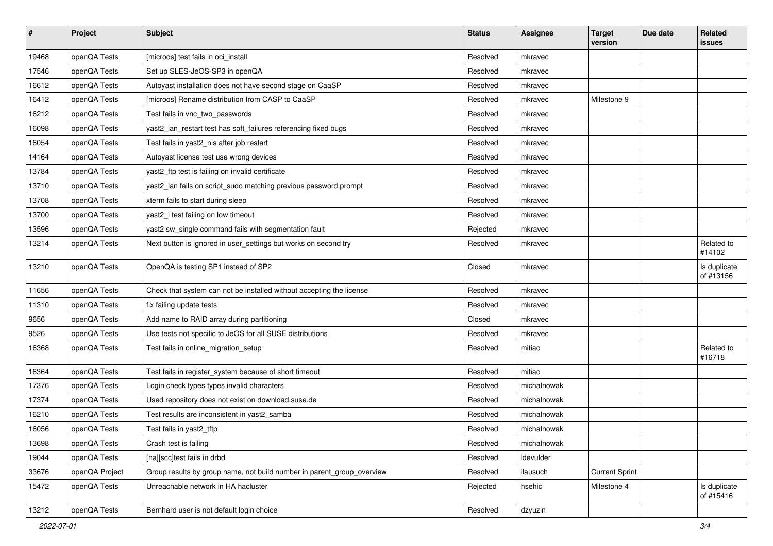| $\vert$ # | Project        | <b>Subject</b>                                                         | <b>Status</b> | <b>Assignee</b> | <b>Target</b><br>version | Due date | Related<br>issues         |
|-----------|----------------|------------------------------------------------------------------------|---------------|-----------------|--------------------------|----------|---------------------------|
| 19468     | openQA Tests   | [microos] test fails in oci install                                    | Resolved      | mkravec         |                          |          |                           |
| 17546     | openQA Tests   | Set up SLES-JeOS-SP3 in openQA                                         | Resolved      | mkravec         |                          |          |                           |
| 16612     | openQA Tests   | Autoyast installation does not have second stage on CaaSP              | Resolved      | mkravec         |                          |          |                           |
| 16412     | openQA Tests   | [microos] Rename distribution from CASP to CaaSP                       | Resolved      | mkravec         | Milestone 9              |          |                           |
| 16212     | openQA Tests   | Test fails in vnc_two_passwords                                        | Resolved      | mkravec         |                          |          |                           |
| 16098     | openQA Tests   | yast2_lan_restart test has soft_failures referencing fixed bugs        | Resolved      | mkravec         |                          |          |                           |
| 16054     | openQA Tests   | Test fails in yast2_nis after job restart                              | Resolved      | mkravec         |                          |          |                           |
| 14164     | openQA Tests   | Autoyast license test use wrong devices                                | Resolved      | mkravec         |                          |          |                           |
| 13784     | openQA Tests   | yast2_ftp test is failing on invalid certificate                       | Resolved      | mkravec         |                          |          |                           |
| 13710     | openQA Tests   | yast2_lan fails on script_sudo matching previous password prompt       | Resolved      | mkravec         |                          |          |                           |
| 13708     | openQA Tests   | xterm fails to start during sleep                                      | Resolved      | mkravec         |                          |          |                           |
| 13700     | openQA Tests   | yast2_i test failing on low timeout                                    | Resolved      | mkravec         |                          |          |                           |
| 13596     | openQA Tests   | yast2 sw_single command fails with segmentation fault                  | Rejected      | mkravec         |                          |          |                           |
| 13214     | openQA Tests   | Next button is ignored in user_settings but works on second try        | Resolved      | mkravec         |                          |          | Related to<br>#14102      |
| 13210     | openQA Tests   | OpenQA is testing SP1 instead of SP2                                   | Closed        | mkravec         |                          |          | Is duplicate<br>of #13156 |
| 11656     | openQA Tests   | Check that system can not be installed without accepting the license   | Resolved      | mkravec         |                          |          |                           |
| 11310     | openQA Tests   | fix failing update tests                                               | Resolved      | mkravec         |                          |          |                           |
| 9656      | openQA Tests   | Add name to RAID array during partitioning                             | Closed        | mkravec         |                          |          |                           |
| 9526      | openQA Tests   | Use tests not specific to JeOS for all SUSE distributions              | Resolved      | mkravec         |                          |          |                           |
| 16368     | openQA Tests   | Test fails in online_migration_setup                                   | Resolved      | mitiao          |                          |          | Related to<br>#16718      |
| 16364     | openQA Tests   | Test fails in register_system because of short timeout                 | Resolved      | mitiao          |                          |          |                           |
| 17376     | openQA Tests   | Login check types types invalid characters                             | Resolved      | michalnowak     |                          |          |                           |
| 17374     | openQA Tests   | Used repository does not exist on download.suse.de                     | Resolved      | michalnowak     |                          |          |                           |
| 16210     | openQA Tests   | Test results are inconsistent in yast2_samba                           | Resolved      | michalnowak     |                          |          |                           |
| 16056     | openQA Tests   | Test fails in yast2_tftp                                               | Resolved      | michalnowak     |                          |          |                           |
| 13698     | openQA Tests   | Crash test is failing                                                  | Resolved      | michalnowak     |                          |          |                           |
| 19044     | openQA Tests   | [ha][scc]test fails in drbd                                            | Resolved      | Idevulder       |                          |          |                           |
| 33676     | openQA Project | Group results by group name, not build number in parent group overview | Resolved      | ilausuch        | <b>Current Sprint</b>    |          |                           |
| 15472     | openQA Tests   | Unreachable network in HA hacluster                                    | Rejected      | hsehic          | Milestone 4              |          | Is duplicate<br>of #15416 |
| 13212     | openQA Tests   | Bernhard user is not default login choice                              | Resolved      | dzyuzin         |                          |          |                           |